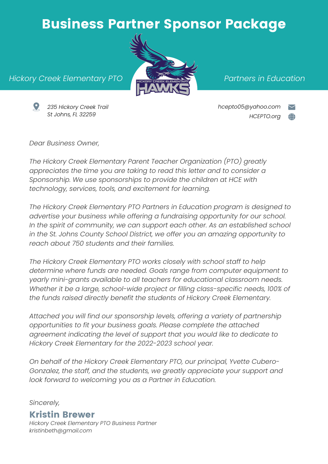### Business Partner Sponsor Package



#### *Partners in Education*

*Hickory Creek Elementary PTO*



*235 Hickory Creek Trail St Johns, FL 32259*

*hcepto05@yahoo.com HCEPTO.org*

*Dear Business Owner,*

*The Hickory Creek Elementary Parent Teacher Organization (PTO) greatly appreciates the time you are taking to read this letter and to consider a Sponsorship. We use sponsorships to provide the children at HCE with technology, services, tools, and excitement for learning.*

*The Hickory Creek Elementary PTO Partners in Education program is designed to advertise your business while offering a fundraising opportunity for our school. In the spirit of community, we can support each other. As an established school in the St. Johns County School District, we offer you an amazing opportunity to reach about 750 students and their families.*

*The Hickory Creek Elementary PTO works closely with school staff to help determine where funds are needed. Goals range from computer equipment to yearly mini-grants available to all teachers for educational classroom needs. Whether it be a large, school-wide project or filling class-specific needs, 100% of the funds raised directly benefit the students of Hickory Creek Elementary.*

*Attached you will find our sponsorship levels, offering a variety of partnership opportunities to fit your business goals. Please complete the attached agreement indicating the level of support that you would like to dedicate to Hickory Creek Elementary for the 2022-2023 school year.*

*On behalf of the Hickory Creek Elementary PTO, our principal, Yvette Cubero-Gonzalez, the staff, and the students, we greatly appreciate your support and look forward to welcoming you as a Partner in Education.*

*Sincerely,*

#### Kristin Brewer

*Hickory Creek Elementary PTO Business Partner kristinbeth@gmail.com*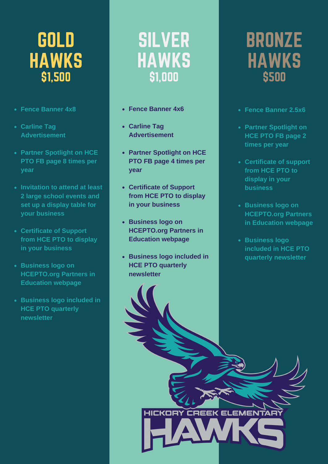# GOLD **HAWKS** \$1,500

- **Fence Banner 4x8**
- **Carline Tag Advertisement**
- **Partner Spotlight on HCE PTO FB page 8 times per year**
- **Invitation to attend at least 2 large school events and set up a display table for your business**
- **Certificate of Support from HCE PTO to display in your business**
- **Business logo on HCEPTO.org Partners in Education webpage**
- **Business logo included in HCE PTO quarterly newsletter**

## SILVER **HAWKS** \$1,000

- **Fence Banner 4x6**
- **Carline Tag Advertisement**
- **Partner Spotlight on HCE PTO FB page 4 times per year**
- **Certificate of Support from HCE PTO to display in your business**
- **Business logo on HCEPTO.org Partners in Education webpage**
- **Business logo included in HCE PTO quarterly newsletter**

HICKORY CREEK ELEMENTARY

# BRONZE HAWKS \$500

- **Fence Banner 2.5x6**
- **Partner Spotlight on HCE PTO FB page 2 times per year**
- **Certificate of support from HCE PTO to display in your business**
- **Business logo on HCEPTO.org Partners in Education webpage**
- **Business logo included in HCE PTO quarterly newsletter**